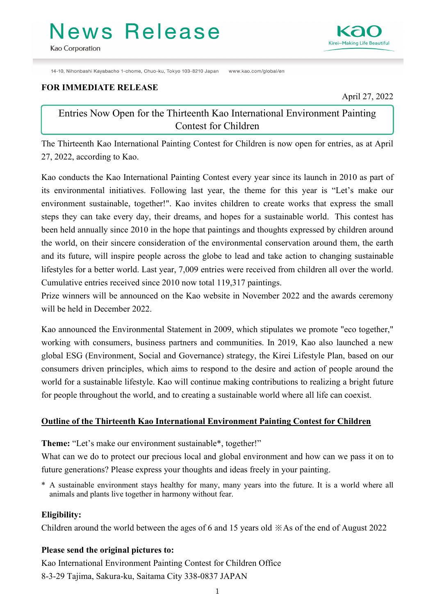# News Release

14-10, Nihonbashi Kayabacho 1-chome, Chuo-ku, Tokyo 103-8210 Japan www.kao.com/global/en

#### **FOR IMMEDIATE RELEASE**

1

April 27, 2022

## Entries Now Open for the Thirteenth Kao International Environment Painting Contest for Children

The Thirteenth Kao International Painting Contest for Children is now open for entries, as at April 27, 2022, according to Kao.

Kao conducts the Kao International Painting Contest every year since its launch in 2010 as part of its environmental initiatives. Following last year, the theme for this year is "Let's make our environment sustainable, together!". Kao invites children to create works that express the small steps they can take every day, their dreams, and hopes for a sustainable world. This contest has been held annually since 2010 in the hope that paintings and thoughts expressed by children around the world, on their sincere consideration of the environmental conservation around them, the earth and its future, will inspire people across the globe to lead and take action to changing sustainable lifestyles for a better world. Last year, 7,009 entries were received from children all over the world. Cumulative entries received since 2010 now total 119,317 paintings.

Prize winners will be announced on the Kao website in November 2022 and the awards ceremony will be held in December 2022.

Kao announced the Environmental Statement in 2009, which stipulates we promote "eco together," working with consumers, business partners and communities. In 2019, Kao also launched a new global ESG (Environment, Social and Governance) strategy, the Kirei Lifestyle Plan, based on our consumers driven principles, which aims to respond to the desire and action of people around the world for a sustainable lifestyle. Kao will continue making contributions to realizing a bright future for people throughout the world, and to creating a sustainable world where all life can coexist.

### **Outline of the Thirteenth Kao International Environment Painting Contest for Children**

**Theme:** "Let's make our environment sustainable\*, together!"

What can we do to protect our precious local and global environment and how can we pass it on to future generations? Please express your thoughts and ideas freely in your painting.

\* A sustainable environment stays healthy for many, many years into the future. It is a world where all animals and plants live together in harmony without fear.

### **Eligibility:**

Children around the world between the ages of 6 and 15 years old ※As of the end of August 2022

### **Please send the original pictures to:**

Kao International Environment Painting Contest for Children Office 8-3-29 Tajima, Sakura-ku, Saitama City 338-0837 JAPAN